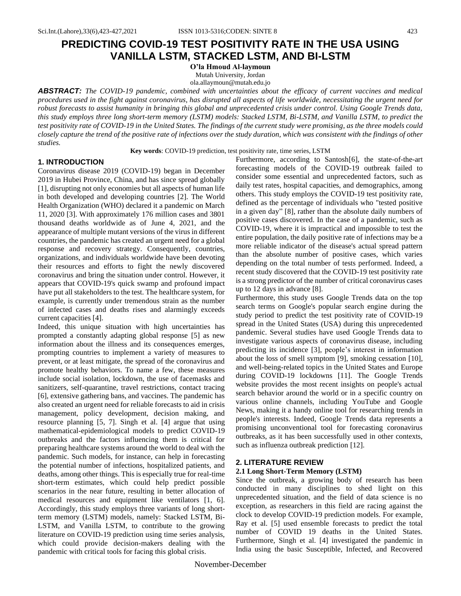# **PREDICTING COVID-19 TEST POSITIVITY RATE IN THE USA USING VANILLA LSTM, STACKED LSTM, AND BI-LSTM**

**O'la Hmoud Al-laymoun** Mutah University, Jordan ola.allaymoun@mutah.edu.jo

*ABSTRACT: The COVID-19 pandemic, combined with uncertainties about the efficacy of current vaccines and medical procedures used in the fight against coronavirus, has disrupted all aspects of life worldwide, necessitating the urgent need for robust forecasts to assist humanity in bringing this global and unprecedented crisis under control. Using Google Trends data, this study employs three long short-term memory (LSTM) models: Stacked LSTM, Bi-LSTM, and Vanilla LSTM, to predict the test positivity rate of COVID-19 in the United States. The findings of the current study were promising, as the three models could closely capture the trend of the positive rate of infections over the study duration, which was consistent with the findings of other studies.*

**Key words**: COVID-19 prediction, test positivity rate, time series, LSTM

# **1. INTRODUCTION**

Coronavirus disease 2019 (COVID-19) began in December 2019 in Hubei Province, China, and has since spread globally [1], disrupting not only economies but all aspects of human life in both developed and developing countries [2]. The World Health Organization (WHO) declared it a pandemic on March 11, 2020 [3]. With approximately 176 million cases and 3801 thousand deaths worldwide as of June 4, 2021, and the appearance of multiple mutant versions of the virus in different countries, the pandemic has created an urgent need for a global response and recovery strategy. Consequently, countries, organizations, and individuals worldwide have been devoting their resources and efforts to fight the newly discovered coronavirus and bring the situation under control. However, it appears that COVID-19's quick swamp and profound impact have put all stakeholders to the test. The healthcare system, for example, is currently under tremendous strain as the number of infected cases and deaths rises and alarmingly exceeds current capacities [4].

Indeed, this unique situation with high uncertainties has prompted a constantly adapting global response [5] as new information about the illness and its consequences emerges, prompting countries to implement a variety of measures to prevent, or at least mitigate, the spread of the coronavirus and promote healthy behaviors. To name a few, these measures include social isolation, lockdown, the use of facemasks and sanitizers, self-quarantine, travel restrictions, contact tracing [6], extensive gathering bans, and vaccines. The pandemic has also created an urgent need for reliable forecasts to aid in crisis management, policy development, decision making, and resource planning [5, 7]. Singh et al. [4] argue that using mathematical-epidemiological models to predict COVID-19 outbreaks and the factors influencing them is critical for preparing healthcare systems around the world to deal with the pandemic. Such models, for instance, can help in forecasting the potential number of infections, hospitalized patients, and deaths, among other things. This is especially true for real-time short-term estimates, which could help predict possible scenarios in the near future, resulting in better allocation of medical resources and equipment like ventilators [1, 6]. Accordingly, this study employs three variants of long shortterm memory (LSTM) models, namely: Stacked LSTM, Bi-LSTM, and Vanilla LSTM, to contribute to the growing literature on COVID-19 prediction using time series analysis, which could provide decision-makers dealing with the pandemic with critical tools for facing this global crisis.

Furthermore, according to Santosh[6], the state-of-the-art forecasting models of the COVID-19 outbreak failed to consider some essential and unprecedented factors, such as daily test rates, hospital capacities, and demographics, among others. This study employs the COVID-19 test positivity rate, defined as the percentage of individuals who "tested positive in a given day" [8], rather than the absolute daily numbers of positive cases discovered. In the case of a pandemic, such as COVID-19, where it is impractical and impossible to test the entire population, the daily positive rate of infections may be a more reliable indicator of the disease's actual spread pattern than the absolute number of positive cases, which varies depending on the total number of tests performed. Indeed, a recent study discovered that the COVID-19 test positivity rate is a strong predictor of the number of critical coronavirus cases up to 12 days in advance [8].

Furthermore, this study uses Google Trends data on the top search terms on Google's popular search engine during the study period to predict the test positivity rate of COVID-19 spread in the United States (USA) during this unprecedented pandemic. Several studies have used Google Trends data to investigate various aspects of coronavirus disease, including predicting its incidence [3], people's interest in information about the loss of smell symptom [9], smoking cessation [10], and well-being-related topics in the United States and Europe during COVID-19 lockdowns [11]. The Google Trends website provides the most recent insights on people's actual search behavior around the world or in a specific country on various online channels, including YouTube and Google News, making it a handy online tool for researching trends in people's interests. Indeed, Google Trends data represents a promising unconventional tool for forecasting coronavirus outbreaks, as it has been successfully used in other contexts, such as influenza outbreak prediction [12].

## **2. LITERATURE REVIEW**

# **2.1 Long Short-Term Memory (LSTM)**

Since the outbreak, a growing body of research has been conducted in many disciplines to shed light on this unprecedented situation, and the field of data science is no exception, as researchers in this field are racing against the clock to develop COVID-19 prediction models. For example, Ray et al. [5] used ensemble forecasts to predict the total number of COVID 19 deaths in the United States. Furthermore, Singh et al. [4] investigated the pandemic in India using the basic Susceptible, Infected, and Recovered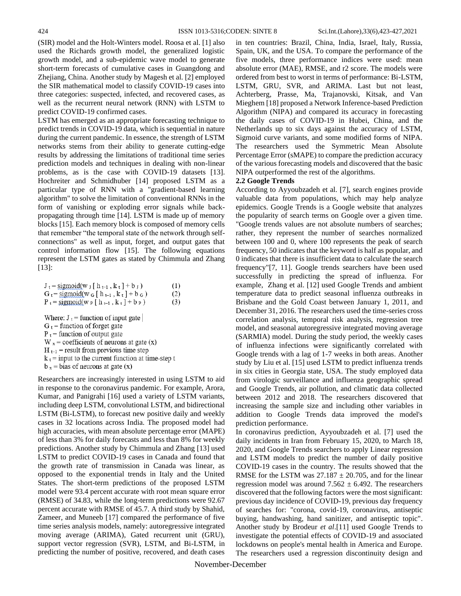(SIR) model and the Holt-Winters model. Roosa et al. [1] also used the Richards growth model, the generalized logistic growth model, and a sub-epidemic wave model to generate short-term forecasts of cumulative cases in Guangdong and Zhejiang, China. Another study by Magesh et al. [2] employed the SIR mathematical model to classify COVID-19 cases into three categories: suspected, infected, and recovered cases, as well as the recurrent neural network (RNN) with LSTM to predict COVID-19 confirmed cases.

LSTM has emerged as an appropriate forecasting technique to predict trends in COVID-19 data, which is sequential in nature during the current pandemic. In essence, the strength of LSTM networks stems from their ability to generate cutting-edge results by addressing the limitations of traditional time series prediction models and techniques in dealing with non-linear problems, as is the case with COVID-19 datasets [13]. Hochreiter and Schmidhuber [14] proposed LSTM as a particular type of RNN with a "gradient-based learning algorithm" to solve the limitation of conventional RNNs in the form of vanishing or exploding error signals while backpropagating through time [14]. LSTM is made up of memory blocks [15]. Each memory block is composed of memory cells that remember "the temporal state of the network through selfconnections" as well as input, forget, and output gates that control information flow [15]. The following equations represent the LSTM gates as stated by Chimmula and Zhang [13]:

| $J_t =$ sigmoid(w $J$ [ h $_{t-1}$ , k $_t$ ] + b $J$ )   | (1) |
|-----------------------------------------------------------|-----|
| $G_t = \text{sigmoid}(w_G [h_{t-1}, k_t] + b_G)$          | (2) |
| $P_t =$ sigmoid(w $_P$ [ h $_{t-1}$ , k $_t$ ] + b $_P$ ) | (3) |

Where:  $J_t$  = function of input gate

 $G_t$  = function of forget gate

 $P_t$  = function of output gate

 $W_x$  = coefficients of neurons at gate (x)

 $H_{t-1}$  = result from previous time step

 $k_t$  = input to the current function at time-step t

 $b_x$  = bias of neurons at gate (x)

Researchers are increasingly interested in using LSTM to aid in response to the coronavirus pandemic. For example, Arora, Kumar, and Panigrahi [16] used a variety of LSTM variants, including deep LSTM, convolutional LSTM, and bidirectional LSTM (Bi-LSTM), to forecast new positive daily and weekly cases in 32 locations across India. The proposed model had high accuracies, with mean absolute percentage error (MAPE) of less than 3% for daily forecasts and less than 8% for weekly predictions. Another study by Chimmula and Zhang [13] used LSTM to predict COVID-19 cases in Canada and found that the growth rate of transmission in Canada was linear, as opposed to the exponential trends in Italy and the United States. The short-term predictions of the proposed LSTM model were 93.4 percent accurate with root mean square error (RMSE) of 34.83, while the long-term predictions were 92.67 percent accurate with RMSE of 45.7. A third study by Shahid, Zameer, and Muneeb [17] compared the performance of five time series analysis models, namely: autoregressive integrated moving average (ARIMA), Gated recurrent unit (GRU), support vector regression (SVR), LSTM, and Bi-LSTM, in predicting the number of positive, recovered, and death cases

in ten countries: Brazil, China, India, Israel, Italy, Russia, Spain, UK, and the USA. To compare the performance of the five models, three performance indices were used: mean absolute error (MAE), RMSE, and r2 score. The models were ordered from best to worst in terms of performance: Bi-LSTM, LSTM, GRU, SVR, and ARIMA. Last but not least, Achterberg, Prasse, Ma, Trajanovski, Kitsak, and Van Mieghem [18] proposed a Network Inference-based Prediction Algorithm (NIPA) and compared its accuracy in forecasting the daily cases of COVID-19 in Hubei, China, and the Netherlands up to six days against the accuracy of LSTM, Sigmoid curve variants, and some modified forms of NIPA. The researchers used the Symmetric Mean Absolute Percentage Error (sMAPE) to compare the prediction accuracy of the various forecasting models and discovered that the basic NIPA outperformed the rest of the algorithms.

#### **2.2 Google Trends**

According to Ayyoubzadeh et al. [7], search engines provide valuable data from populations, which may help analyze epidemics. Google Trends is a Google website that analyzes the popularity of search terms on Google over a given time. "Google trends values are not absolute numbers of searches; rather, they represent the number of searches normalized between 100 and 0, where 100 represents the peak of search frequency, 50 indicates that the keyword is half as popular, and 0 indicates that there is insufficient data to calculate the search frequency"[7, 11]. Google trends searchers have been used successfully in predicting the spread of influenza. For example, Zhang et al. [12] used Google Trends and ambient temperature data to predict seasonal influenza outbreaks in Brisbane and the Gold Coast between January 1, 2011, and December 31, 2016. The researchers used the time-series cross correlation analysis, temporal risk analysis, regression tree model, and seasonal autoregressive integrated moving average (SARMIA) model. During the study period, the weekly cases of influenza infections were significantly correlated with Google trends with a lag of 1-7 weeks in both areas. Another study by Liu et al. [15] used LSTM to predict influenza trends in six cities in Georgia state, USA. The study employed data from virologic surveillance and influenza geographic spread and Google Trends, air pollution, and climatic data collected between 2012 and 2018. The researchers discovered that increasing the sample size and including other variables in addition to Google Trends data improved the model's prediction performance.

In coronavirus prediction, Ayyoubzadeh et al. [7] used the daily incidents in Iran from February 15, 2020, to March 18, 2020, and Google Trends searchers to apply Linear regression and LSTM models to predict the number of daily positive COVID-19 cases in the country. The results showed that the RMSE for the LSTM was  $27.187 \pm 20.705$ , and for the linear regression model was around  $7.562 \pm 6.492$ . The researchers discovered that the following factors were the most significant: previous day incidence of COVID-19, previous day frequency of searches for: "corona, covid-19, coronavirus, antiseptic buying, handwashing, hand sanitizer, and antiseptic topic". Another study by Brodeur *et al*.[11] used Google Trends to investigate the potential effects of COVID-19 and associated lockdowns on people's mental health in America and Europe. The researchers used a regression discontinuity design and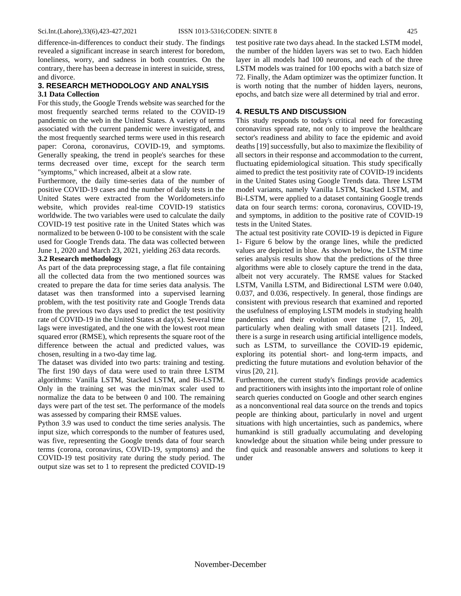difference-in-differences to conduct their study. The findings revealed a significant increase in search interest for boredom, loneliness, worry, and sadness in both countries. On the contrary, there has been a decrease in interest in suicide, stress, and divorce.

# **3. RESEARCH METHODOLOGY AND ANALYSIS**

## **3.1 Data Collection**

For this study, the Google Trends website was searched for the most frequently searched terms related to the COVID-19 pandemic on the web in the United States. A variety of terms associated with the current pandemic were investigated, and the most frequently searched terms were used in this research paper: Corona, coronavirus, COVID-19, and symptoms. Generally speaking, the trend in people's searches for these terms decreased over time, except for the search term "symptoms," which increased, albeit at a slow rate.

Furthermore, the daily time-series data of the number of positive COVID-19 cases and the number of daily tests in the United States were extracted from the Worldometers.info website, which provides real-time COVID-19 statistics worldwide. The two variables were used to calculate the daily COVID-19 test positive rate in the United States which was normalized to be between 0-100 to be consistent with the scale used for Google Trends data. The data was collected between June 1, 2020 and March 23, 2021, yielding 263 data records.

#### **3.2 Research methodology**

As part of the data preprocessing stage, a flat file containing all the collected data from the two mentioned sources was created to prepare the data for time series data analysis. The dataset was then transformed into a supervised learning problem, with the test positivity rate and Google Trends data from the previous two days used to predict the test positivity rate of COVID-19 in the United States at  $day(x)$ . Several time lags were investigated, and the one with the lowest root mean squared error (RMSE), which represents the square root of the difference between the actual and predicted values, was chosen, resulting in a two-day time lag.

The dataset was divided into two parts: training and testing. The first 190 days of data were used to train three LSTM algorithms: Vanilla LSTM, Stacked LSTM, and Bi-LSTM. Only in the training set was the min/max scaler used to normalize the data to be between 0 and 100. The remaining days were part of the test set. The performance of the models was assessed by comparing their RMSE values.

Python 3.9 was used to conduct the time series analysis. The input size, which corresponds to the number of features used, was five, representing the Google trends data of four search terms (corona, coronavirus, COVID-19, symptoms) and the COVID-19 test positivity rate during the study period. The output size was set to 1 to represent the predicted COVID-19

test positive rate two days ahead. In the stacked LSTM model, the number of the hidden layers was set to two. Each hidden layer in all models had 100 neurons, and each of the three LSTM models was trained for 100 epochs with a batch size of 72. Finally, the Adam optimizer was the optimizer function. It is worth noting that the number of hidden layers, neurons, epochs, and batch size were all determined by trial and error.

### **4. RESULTS AND DISCUSSION**

This study responds to today's critical need for forecasting coronavirus spread rate, not only to improve the healthcare sector's readiness and ability to face the epidemic and avoid deaths [19] successfully, but also to maximize the flexibility of all sectors in their response and accommodation to the current, fluctuating epidemiological situation. This study specifically aimed to predict the test positivity rate of COVID-19 incidents in the United States using Google Trends data. Three LSTM model variants, namely Vanilla LSTM, Stacked LSTM, and Bi-LSTM, were applied to a dataset containing Google trends data on four search terms: corona, coronavirus, COVID-19, and symptoms, in addition to the positive rate of COVID-19 tests in the United States.

The actual test positivity rate COVID-19 is depicted in Figure 1- Figure 6 below by the orange lines, while the predicted values are depicted in blue. As shown below, the LSTM time series analysis results show that the predictions of the three algorithms were able to closely capture the trend in the data, albeit not very accurately. The RMSE values for Stacked LSTM, Vanilla LSTM, and Bidirectional LSTM were 0.040, 0.037, and 0.036, respectively. In general, those findings are consistent with previous research that examined and reported the usefulness of employing LSTM models in studying health pandemics and their evolution over time [7, 15, 20], particularly when dealing with small datasets [21]. Indeed, there is a surge in research using artificial intelligence models, such as LSTM, to surveillance the COVID-19 epidemic, exploring its potential short- and long-term impacts, and predicting the future mutations and evolution behavior of the virus [20, 21].

Furthermore, the current study's findings provide academics and practitioners with insights into the important role of online search queries conducted on Google and other search engines as a nonconventional real data source on the trends and topics people are thinking about, particularly in novel and urgent situations with high uncertainties, such as pandemics, where humankind is still gradually accumulating and developing knowledge about the situation while being under pressure to find quick and reasonable answers and solutions to keep it under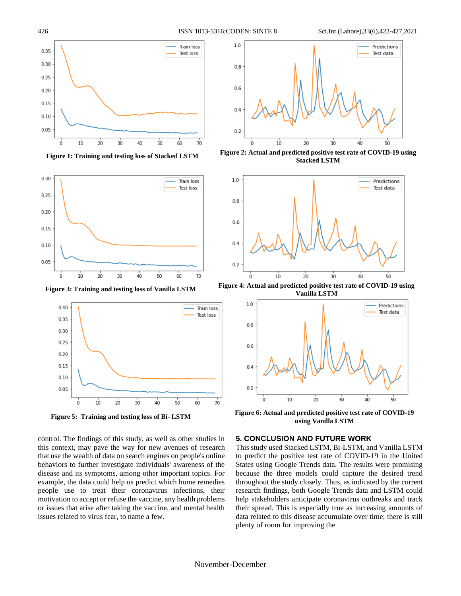

*Figure 1: Training and testing loss of Stacked LSTM* **Figure 1: Training and testing loss of Stacked LSTM**







**Figure 5: Training and testing loss of Bi- LSTM**

control. The findings of this study, as well as other studies in this context, may pave the way for new avenues of research that use the wealth of data on search engines on people's online behaviors to further investigate individuals' awareness of the disease and its symptoms, among other important topics. For example, the data could help us predict which home remedies people use to treat their coronavirus infections, their motivation to accept or refuse the vaccine, any health problems or issues that arise after taking the vaccine, and mental health issues related to virus fear, to name a few.



**Figure 2: Actual and predicted positive test rate of COVID-19 using Stacked LSTM**



**Figure 4: Actual and predicted positive test rate of COVID-19 using Vanilla LSTM**



**Figure 6: Actual and predicted positive test rate of COVID-19 using Vanilla LSTM**

#### **5. CONCLUSION AND FUTURE WORK**

This study used Stacked LSTM, Bi-LSTM, and Vanilla LSTM to predict the positive test rate of COVID-19 in the United States using Google Trends data. The results were promising because the three models could capture the desired trend throughout the study closely. Thus, as indicated by the current research findings, both Google Trends data and LSTM could help stakeholders anticipate coronavirus outbreaks and track their spread. This is especially true as increasing amounts of data related to this disease accumulate over time; there is still plenty of room for improving the